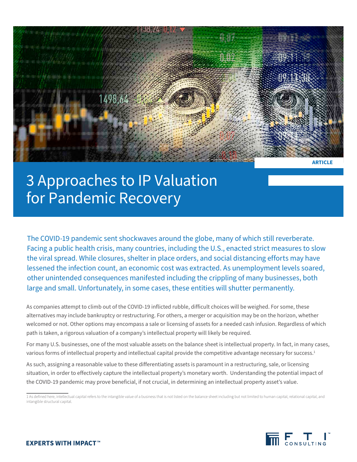

# 3 Approaches to IP Valuation for Pandemic Recovery

The COVID-19 pandemic sent shockwaves around the globe, many of which still reverberate. Facing a public health crisis, many countries, including the U.S., enacted strict measures to slow the viral spread. While closures, shelter in place orders, and social distancing efforts may have lessened the infection count, an economic cost was extracted. As unemployment levels soared, other unintended consequences manifested including the crippling of many businesses, both large and small. Unfortunately, in some cases, these entities will shutter permanently.

As companies attempt to climb out of the COVID-19 inflicted rubble, difficult choices will be weighed. For some, these alternatives may include bankruptcy or restructuring. For others, a merger or acquisition may be on the horizon, whether welcomed or not. Other options may encompass a sale or licensing of assets for a needed cash infusion. Regardless of which path is taken, a rigorous valuation of a company's intellectual property will likely be required.

For many U.S. businesses, one of the most valuable assets on the balance sheet is intellectual property. In fact, in many cases, various forms of intellectual property and intellectual capital provide the competitive advantage necessary for success.<sup>1</sup>

As such, assigning a reasonable value to these differentiating assets is paramount in a restructuring, sale, or licensing situation, in order to effectively capture the intellectual property's monetary worth. Understanding the potential impact of the COVID-19 pandemic may prove beneficial, if not crucial, in determining an intellectual property asset's value.



<sup>1</sup> As defined here, intellectual capital refers to the intangible value of a business that is not listed on the balance sheet including but not limited to human capital, relational capital, and intangible structural capital.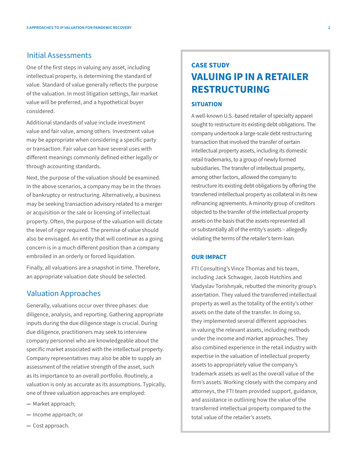### Initial Assessments

One of the first steps in valuing any asset, including intellectual property, is determining the standard of value. Standard of value generally reflects the purpose of the valuation. In most litigation settings, fair market value will be preferred, and a hypothetical buyer considered.

Additional standards of value include investment value and fair value, among others. Investment value may be appropriate when considering a specific party or transaction. Fair value can have several uses with different meanings commonly defined either legally or through accounting standards.

Next, the purpose of the valuation should be examined. In the above scenarios, a company may be in the throes of bankruptcy or restructuring. Alternatively, a business may be seeking transaction advisory related to a merger or acquisition or the sale or licensing of intellectual property. Often, the purpose of the valuation will dictate the level of rigor required. The premise of value should also be envisaged. An entity that will continue as a going concern is in a much different position than a company embroiled in an orderly or forced liquidation.

Finally, all valuations are a snapshot in time. Therefore, an appropriate valuation date should be selected.

# Valuation Approaches

Generally, valuations occur over three phases: due diligence, analysis, and reporting. Gathering appropriate inputs during the due diligence stage is crucial. During due diligence, practitioners may seek to interview company personnel who are knowledgeable about the specific market associated with the intellectual property. Company representatives may also be able to supply an assessment of the relative strength of the asset, such as its importance to an overall portfolio. Routinely, a valuation is only as accurate as its assumptions. Typically, one of three valuation approaches are employed:

- **—** Market approach;
- **—** Income approach; or
- **—** Cost approach.

# **CASE STUDY VALUING IP IN A RETAILER RESTRUCTURING**

### **SITUATION**

A well-known U.S.-based retailer of specialty apparel sought to restructure its existing debt obligations. The company undertook a large-scale debt restructuring transaction that involved the transfer of certain intellectual property assets, including its domestic retail trademarks, to a group of newly formed subsidiaries. The transfer of intellectual property, among other factors, allowed the company to restructure its existing debt obligations by offering the transferred intellectual property as collateral in its new refinancing agreements. A minority group of creditors objected to the transfer of the intellectual property assets on the basis that the assets represented all or substantially all of the entity's assets – allegedly violating the terms of the retailer's term loan.

### **OUR IMPACT**

FTI Consulting's Vince Thomas and his team, including Jack Schwager, Jacob Hutchins and Vladyslav Torishnyak, rebutted the minority group's assertation. They valued the transferred intellectual property as well as the totality of the entity's other assets on the date of the transfer. In doing so, they implemented several different approaches in valuing the relevant assets, including methods under the income and market approaches. They also combined experience in the retail industry with expertise in the valuation of intellectual property assets to appropriately value the company's trademark assets as well as the overall value of the firm's assets. Working closely with the company and attorneys, the FTI team provided support, guidance, and assistance in outlining how the value of the transferred intellectual property compared to the total value of the retailer's assets.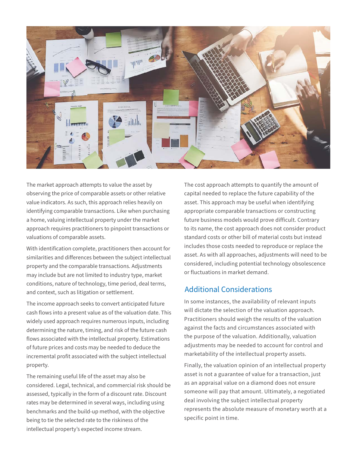

The market approach attempts to value the asset by observing the price of comparable assets or other relative value indicators. As such, this approach relies heavily on identifying comparable transactions. Like when purchasing a home, valuing intellectual property under the market approach requires practitioners to pinpoint transactions or valuations of comparable assets.

With identification complete, practitioners then account for similarities and differences between the subject intellectual property and the comparable transactions. Adjustments may include but are not limited to industry type, market conditions, nature of technology, time period, deal terms, and context, such as litigation or settlement.

The income approach seeks to convert anticipated future cash flows into a present value as of the valuation date. This widely used approach requires numerous inputs, including determining the nature, timing, and risk of the future cash flows associated with the intellectual property. Estimations of future prices and costs may be needed to deduce the incremental profit associated with the subject intellectual property.

The remaining useful life of the asset may also be considered. Legal, technical, and commercial risk should be assessed, typically in the form of a discount rate. Discount rates may be determined in several ways, including using benchmarks and the build-up method, with the objective being to tie the selected rate to the riskiness of the intellectual property's expected income stream.

The cost approach attempts to quantify the amount of capital needed to replace the future capability of the asset. This approach may be useful when identifying appropriate comparable transactions or constructing future business models would prove difficult. Contrary to its name, the cost approach does not consider product standard costs or other bill of material costs but instead includes those costs needed to reproduce or replace the asset. As with all approaches, adjustments will need to be considered, including potential technology obsolescence or fluctuations in market demand.

# Additional Considerations

In some instances, the availability of relevant inputs will dictate the selection of the valuation approach. Practitioners should weigh the results of the valuation against the facts and circumstances associated with the purpose of the valuation. Additionally, valuation adjustments may be needed to account for control and marketability of the intellectual property assets.

Finally, the valuation opinion of an intellectual property asset is not a guarantee of value for a transaction, just as an appraisal value on a diamond does not ensure someone will pay that amount. Ultimately, a negotiated deal involving the subject intellectual property represents the absolute measure of monetary worth at a specific point in time.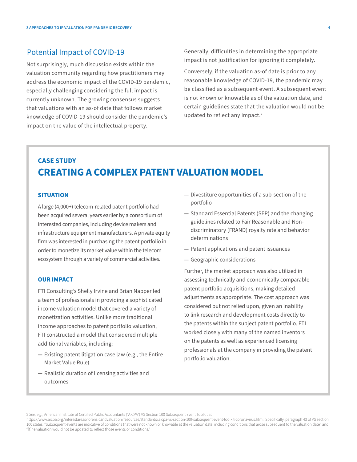### Potential Impact of COVID-19

Not surprisingly, much discussion exists within the valuation community regarding how practitioners may address the economic impact of the COVID-19 pandemic, especially challenging considering the full impact is currently unknown. The growing consensus suggests that valuations with an as-of date that follows market knowledge of COVID-19 should consider the pandemic's impact on the value of the intellectual property.

Generally, difficulties in determining the appropriate impact is not justification for ignoring it completely.

Conversely, if the valuation as-of date is prior to any reasonable knowledge of COVID-19, the pandemic may be classified as a subsequent event. A subsequent event is not known or knowable as of the valuation date, and certain guidelines state that the valuation would not be updated to reflect any impact.<sup>2</sup>

# **CASE STUDY CREATING A COMPLEX PATENT VALUATION MODEL**

### **SITUATION**

A large (4,000+) telecom-related patent portfolio had been acquired several years earlier by a consortium of interested companies, including device makers and infrastructure equipment manufacturers. A private equity firm was interested in purchasing the patent portfolio in order to monetize its market value within the telecom ecosystem through a variety of commercial activities.

### **OUR IMPACT**

FTI Consulting's Shelly Irvine and Brian Napper led a team of professionals in providing a sophisticated income valuation model that covered a variety of monetization activities. Unlike more traditional income approaches to patent portfolio valuation, FTI constructed a model that considered multiple additional variables, including:

- **—** Existing patent litigation case law (e.g., the Entire Market Value Rule)
- **—** Realistic duration of licensing activities and outcomes
- **—** Divestiture opportunities of a sub-section of the portfolio
- **—** Standard Essential Patents (SEP) and the changing guidelines related to Fair Reasonable and Nondiscriminatory (FRAND) royalty rate and behavior determinations
- **—** Patent applications and patent issuances
- **—** Geographic considerations

Further, the market approach was also utilized in assessing technically and economically comparable patent portfolio acquisitions, making detailed adjustments as appropriate. The cost approach was considered but not relied upon, given an inability to link research and development costs directly to the patents within the subject patent portfolio. FTI worked closely with many of the named inventors on the patents as well as experienced licensing professionals at the company in providing the patent portfolio valuation.

<sup>2</sup> *See, e.g.*, American Institute of Certified Public Accountants ("AICPA") VS Section 100 Subsequent Event Toolkit at

https://www.aicpa.org/interestareas/forensicandvaluation/resources/standards/aicpa-vs-section-100-subsequent-event-toolkit-coronavirus.html. Specifically, paragraph 43 of VS section 100 states: "Subsequent events are indicative of conditions that were not known or knowable at the valuation date, including conditions that arose subsequent to the valuation date" and "[t]he valuation would not be updated to reflect those events or conditions."